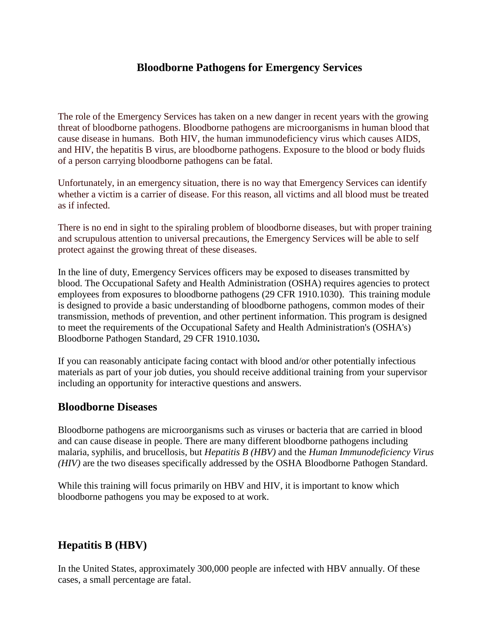# **Bloodborne Pathogens for Emergency Services**

The role of the Emergency Services has taken on a new danger in recent years with the growing threat of bloodborne pathogens. Bloodborne pathogens are microorganisms in human blood that cause disease in humans. Both HIV, the human immunodeficiency virus which causes AIDS, and HIV, the hepatitis B virus, are bloodborne pathogens. Exposure to the blood or body fluids of a person carrying bloodborne pathogens can be fatal.

Unfortunately, in an emergency situation, there is no way that Emergency Services can identify whether a victim is a carrier of disease. For this reason, all victims and all blood must be treated as if infected.

There is no end in sight to the spiraling problem of bloodborne diseases, but with proper training and scrupulous attention to universal precautions, the Emergency Services will be able to self protect against the growing threat of these diseases.

In the line of duty, Emergency Services officers may be exposed to diseases transmitted by blood. The Occupational Safety and Health Administration (OSHA) requires agencies to protect employees from exposures to bloodborne pathogens (29 CFR 1910.1030). This training module is designed to provide a basic understanding of bloodborne pathogens, common modes of their transmission, methods of prevention, and other pertinent information. This program is designed to meet the requirements of the Occupational Safety and Health Administration's (OSHA's) Bloodborne Pathogen Standard, [29 CFR 1910.1030](http://www.osha.gov/pls/oshaweb/owadisp.show_document?p_table=STANDARDS&p_id=10051&p_text_version=FALSE)**.**

If you can reasonably anticipate facing contact with blood and/or other potentially infectious materials as part of your job duties, you should receive additional training from your supervisor including an opportunity for interactive questions and answers.

## **Bloodborne Diseases**

Bloodborne pathogens are microorganisms such as viruses or bacteria that are carried in blood and can cause disease in people. There are many different bloodborne pathogens including malaria, syphilis, and brucellosis, but *Hepatitis B (HBV)* and the *Human Immunodeficiency Virus (HIV)* are the two diseases specifically addressed by the OSHA Bloodborne Pathogen Standard.

While this training will focus primarily on HBV and HIV, it is important to know which bloodborne pathogens you may be exposed to at work.

# **Hepatitis B (HBV)**

In the United States, approximately 300,000 people are infected with HBV annually. Of these cases, a small percentage are fatal.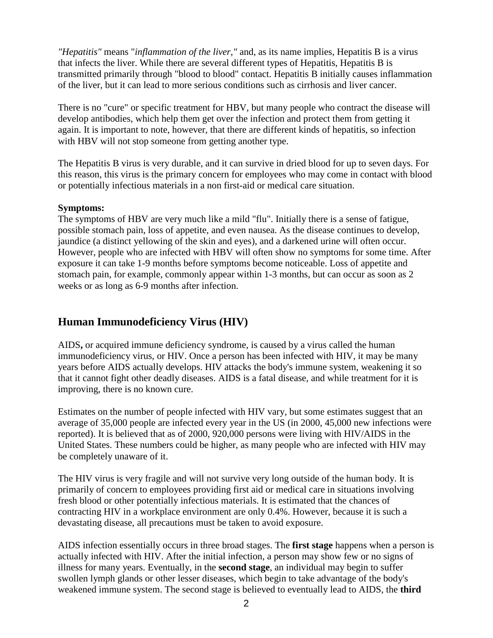*"Hepatitis"* means "*inflammation of the liver,"* and, as its name implies, Hepatitis B is a virus that infects the liver. While there are several different types of Hepatitis, Hepatitis B is transmitted primarily through "blood to blood" contact. Hepatitis B initially causes inflammation of the liver, but it can lead to more serious conditions such as cirrhosis and liver cancer.

There is no "cure" or specific treatment for HBV, but many people who contract the disease will develop antibodies, which help them get over the infection and protect them from getting it again. It is important to note, however, that there are different kinds of hepatitis, so infection with HBV will not stop someone from getting another type.

The Hepatitis B virus is very durable, and it can survive in dried blood for up to seven days. For this reason, this virus is the primary concern for employees who may come in contact with blood or potentially infectious materials in a non first-aid or medical care situation.

#### **Symptoms:**

The symptoms of HBV are very much like a mild "flu". Initially there is a sense of fatigue, possible stomach pain, loss of appetite, and even nausea. As the disease continues to develop, jaundice (a distinct yellowing of the skin and eyes), and a darkened urine will often occur. However, people who are infected with HBV will often show no symptoms for some time. After exposure it can take 1-9 months before symptoms become noticeable. Loss of appetite and stomach pain, for example, commonly appear within 1-3 months, but can occur as soon as 2 weeks or as long as 6-9 months after infection.

# **Human Immunodeficiency Virus (HIV)**

AIDS**,** or acquired immune deficiency syndrome, is caused by a virus called the human immunodeficiency virus, or HIV. Once a person has been infected with HIV, it may be many years before AIDS actually develops. HIV attacks the body's immune system, weakening it so that it cannot fight other deadly diseases. AIDS is a fatal disease, and while treatment for it is improving, there is no known cure.

Estimates on the number of people infected with HIV vary, but some estimates suggest that an average of 35,000 people are infected every year in the US (in 2000, 45,000 new infections were reported). It is believed that as of 2000, 920,000 persons were living with HIV/AIDS in the United States. These numbers could be higher, as many people who are infected with HIV may be completely unaware of it.

The HIV virus is very fragile and will not survive very long outside of the human body. It is primarily of concern to employees providing first aid or medical care in situations involving fresh blood or other potentially infectious materials. It is estimated that the chances of contracting HIV in a workplace environment are only 0.4%. However, because it is such a devastating disease, all precautions must be taken to avoid exposure.

AIDS infection essentially occurs in three broad stages. The **first stage** happens when a person is actually infected with HIV. After the initial infection, a person may show few or no signs of illness for many years. Eventually, in the **second stage**, an individual may begin to suffer swollen lymph glands or other lesser diseases, which begin to take advantage of the body's weakened immune system. The second stage is believed to eventually lead to AIDS, the **third**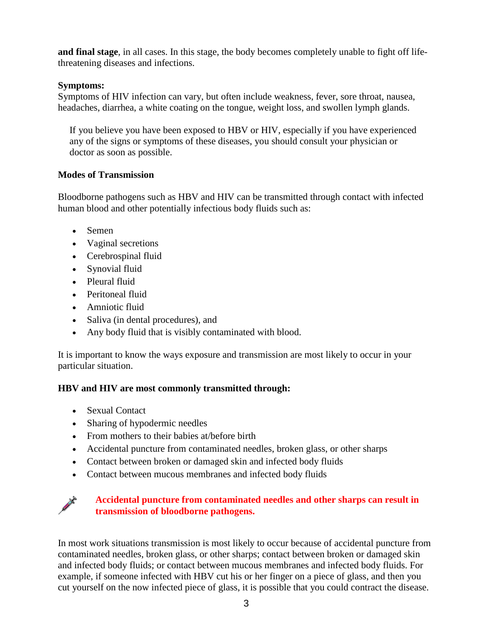**and final stage**, in all cases. In this stage, the body becomes completely unable to fight off lifethreatening diseases and infections.

#### **Symptoms:**

Symptoms of HIV infection can vary, but often include weakness, fever, sore throat, nausea, headaches, diarrhea, a white coating on the tongue, weight loss, and swollen lymph glands.

If you believe you have been exposed to HBV or HIV, especially if you have experienced any of the signs or symptoms of these diseases, you should consult your physician or doctor as soon as possible.

#### **Modes of Transmission**

Bloodborne pathogens such as HBV and HIV can be transmitted through contact with infected human blood and other potentially infectious body fluids such as:

- Semen
- Vaginal secretions
- Cerebrospinal fluid
- Synovial fluid
- Pleural fluid
- Peritoneal fluid
- Amniotic fluid
- Saliva (in dental procedures), and
- Any body fluid that is visibly contaminated with blood.

It is important to know the ways exposure and transmission are most likely to occur in your particular situation.

## **HBV and HIV are most commonly transmitted through:**

- Sexual Contact
- Sharing of hypodermic needles
- From mothers to their babies at/before birth
- Accidental puncture from contaminated needles, broken glass, or other sharps
- Contact between broken or damaged skin and infected body fluids
- Contact between mucous membranes and infected body fluids

# **All All Address**

#### **Accidental puncture from contaminated needles and other sharps can result in transmission of bloodborne pathogens.**

In most work situations transmission is most likely to occur because of accidental puncture from contaminated needles, broken glass, or other sharps; contact between broken or damaged skin and infected body fluids; or contact between mucous membranes and infected body fluids. For example, if someone infected with HBV cut his or her finger on a piece of glass, and then you cut yourself on the now infected piece of glass, it is possible that you could contract the disease.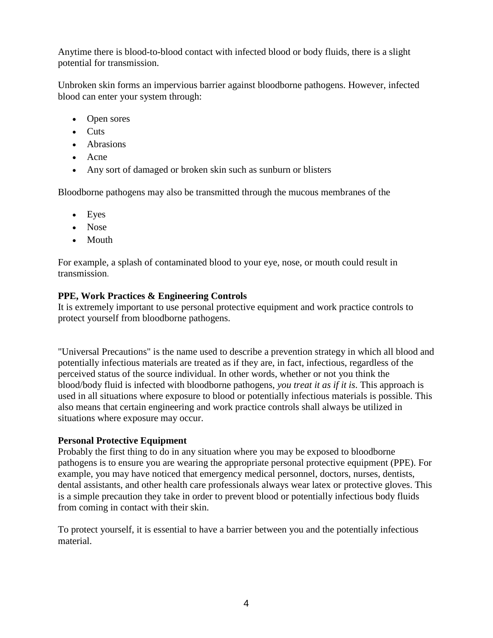Anytime there is blood-to-blood contact with infected blood or body fluids, there is a slight potential for transmission.

Unbroken skin forms an impervious barrier against bloodborne pathogens. However, infected blood can enter your system through:

- Open sores
- Cuts
- Abrasions
- Acne
- Any sort of damaged or broken skin such as sunburn or blisters

Bloodborne pathogens may also be transmitted through the mucous membranes of the

- Eyes
- Nose
- Mouth

For example, a splash of contaminated blood to your eye, nose, or mouth could result in transmission.

## **PPE, Work Practices & Engineering Controls**

It is extremely important to use personal protective equipment and work practice controls to protect yourself from bloodborne pathogens.

"Universal Precautions" is the name used to describe a prevention strategy in which all blood and potentially infectious materials are treated as if they are, in fact, infectious, regardless of the perceived status of the source individual. In other words, whether or not you think the blood/body fluid is infected with bloodborne pathogens, *you treat it as if it is*. This approach is used in all situations where exposure to blood or potentially infectious materials is possible. This also means that certain engineering and work practice controls shall always be utilized in situations where exposure may occur.

## **Personal Protective Equipment**

Probably the first thing to do in any situation where you may be exposed to bloodborne pathogens is to ensure you are wearing the appropriate personal protective equipment (PPE). For example, you may have noticed that emergency medical personnel, doctors, nurses, dentists, dental assistants, and other health care professionals always wear latex or protective gloves. This is a simple precaution they take in order to prevent blood or potentially infectious body fluids from coming in contact with their skin.

To protect yourself, it is essential to have a barrier between you and the potentially infectious material.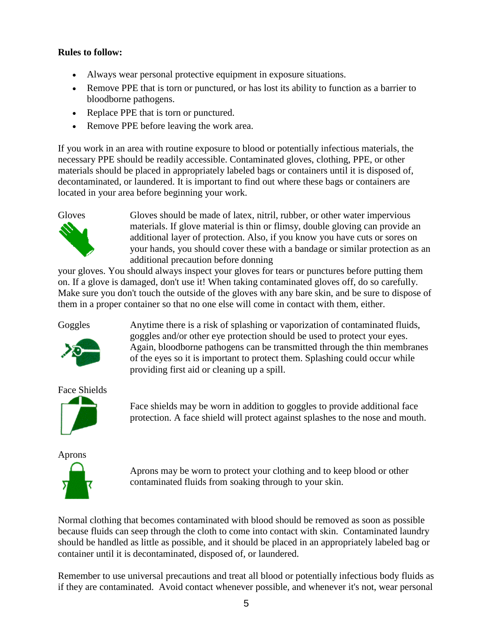## **Rules to follow:**

- Always wear personal protective equipment in exposure situations.
- Remove PPE that is torn or punctured, or has lost its ability to function as a barrier to bloodborne pathogens.
- Replace PPE that is torn or punctured.
- Remove PPE before leaving the work area.

If you work in an area with routine exposure to blood or potentially infectious materials, the necessary PPE should be readily accessible. Contaminated gloves, clothing, PPE, or other materials should be placed in appropriately labeled bags or containers until it is disposed of, decontaminated, or laundered. It is important to find out where these bags or containers are located in your area before beginning your work.



Gloves Gloves should be made of latex, nitril, rubber, or other water impervious materials. If glove material is thin or flimsy, double gloving can provide an additional layer of protection. Also, if you know you have cuts or sores on your hands, you should cover these with a bandage or similar protection as an additional precaution before donning

your gloves. You should always inspect your gloves for tears or punctures before putting them on. If a glove is damaged, don't use it! When taking contaminated gloves off, do so carefully. Make sure you don't touch the outside of the gloves with any bare skin, and be sure to dispose of them in a proper container so that no one else will come in contact with them, either.



Goggles Anytime there is a risk of splashing or vaporization of contaminated fluids, goggles and/or other eye protection should be used to protect your eyes. Again, bloodborne pathogens can be transmitted through the thin membranes of the eyes so it is important to protect them. Splashing could occur while providing first aid or cleaning up a spill.

Face Shields



Face shields may be worn in addition to goggles to provide additional face protection. A face shield will protect against splashes to the nose and mouth.

Aprons



Aprons may be worn to protect your clothing and to keep blood or other contaminated fluids from soaking through to your skin.

Normal clothing that becomes contaminated with blood should be removed as soon as possible because fluids can seep through the cloth to come into contact with skin. Contaminated laundry should be handled as little as possible, and it should be placed in an appropriately labeled bag or container until it is decontaminated, disposed of, or laundered.

Remember to use universal precautions and treat all blood or potentially infectious body fluids as if they are contaminated. Avoid contact whenever possible, and whenever it's not, wear personal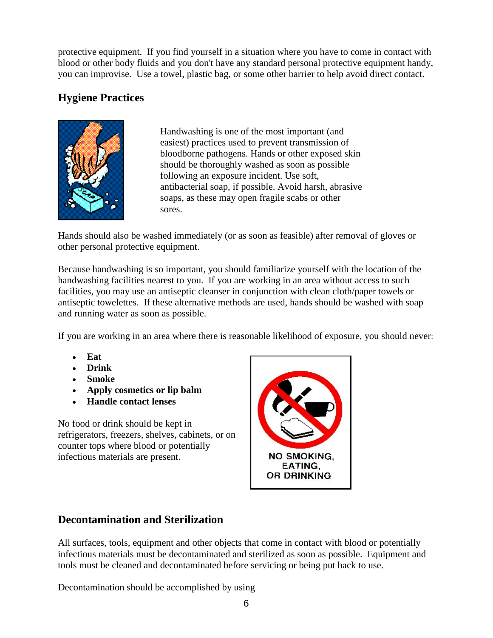protective equipment. If you find yourself in a situation where you have to come in contact with blood or other body fluids and you don't have any standard personal protective equipment handy, you can improvise. Use a towel, plastic bag, or some other barrier to help avoid direct contact.

# **Hygiene Practices**



Handwashing is one of the most important (and easiest) practices used to prevent transmission of bloodborne pathogens. Hands or other exposed skin should be thoroughly washed as soon as possible following an exposure incident. Use soft, antibacterial soap, if possible. Avoid harsh, abrasive soaps, as these may open fragile scabs or other sores.

Hands should also be washed immediately (or as soon as feasible) after removal of gloves or other personal protective equipment.

Because handwashing is so important, you should familiarize yourself with the location of the handwashing facilities nearest to you. If you are working in an area without access to such facilities, you may use an antiseptic cleanser in conjunction with clean cloth/paper towels or antiseptic towelettes. If these alternative methods are used, hands should be washed with soap and running water as soon as possible.

If you are working in an area where there is reasonable likelihood of exposure, you should never:

- **Eat**
- **Drink**
- **Smoke**
- **Apply cosmetics or lip balm**
- **Handle contact lenses**

No food or drink should be kept in refrigerators, freezers, shelves, cabinets, or on counter tops where blood or potentially infectious materials are present.



# **Decontamination and Sterilization**

All surfaces, tools, equipment and other objects that come in contact with blood or potentially infectious materials must be decontaminated and sterilized as soon as possible. Equipment and tools must be cleaned and decontaminated before servicing or being put back to use.

Decontamination should be accomplished by using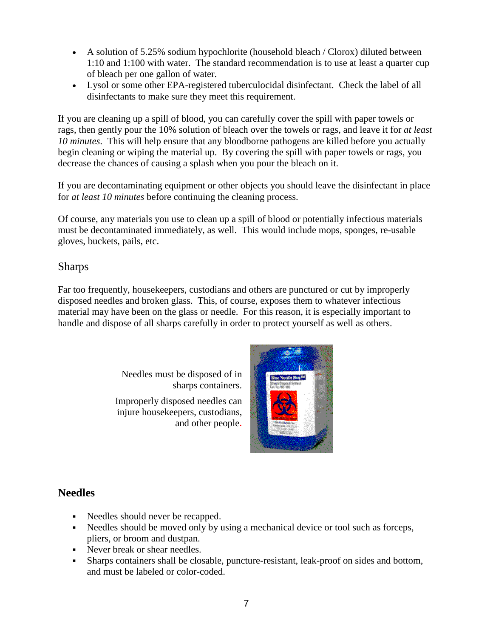- A solution of 5.25% sodium hypochlorite (household bleach / Clorox) diluted between 1:10 and 1:100 with water. The standard recommendation is to use at least a quarter cup of bleach per one gallon of water.
- [Lysol or some other EPA-registered tuberculocidal disinfectant.](http://ace.orst.edu/info/nain/lists.htm) Check the label of all disinfectants to make sure they meet this requirement.

If you are cleaning up a spill of blood, you can carefully cover the spill with paper towels or rags, then gently pour the 10% solution of bleach over the towels or rags, and leave it for *at least 10 minutes*. This will help ensure that any bloodborne pathogens are killed before you actually begin cleaning or wiping the material up. By covering the spill with paper towels or rags, you decrease the chances of causing a splash when you pour the bleach on it.

If you are decontaminating equipment or other objects you should leave the disinfectant in place for *at least 10 minutes* before continuing the cleaning process.

Of course, any materials you use to clean up a spill of blood or potentially infectious materials must be decontaminated immediately, as well. This would include mops, sponges, re-usable gloves, buckets, pails, etc.

## Sharps

Far too frequently, housekeepers, custodians and others are punctured or cut by improperly disposed needles and broken glass. This, of course, exposes them to whatever infectious material may have been on the glass or needle. For this reason, it is especially important to handle and dispose of all sharps carefully in order to protect yourself as well as others.

> Needles must be disposed of in sharps containers. Improperly disposed needles can injure housekeepers, custodians, and other people**.**



# **Needles**

- Needles should never be recapped.
- Needles should be moved only by using a mechanical device or tool such as forceps, pliers, or broom and dustpan.
- Never break or shear needles.
- Sharps containers shall be closable, puncture-resistant, leak-proof on sides and bottom, and must be labeled or color-coded.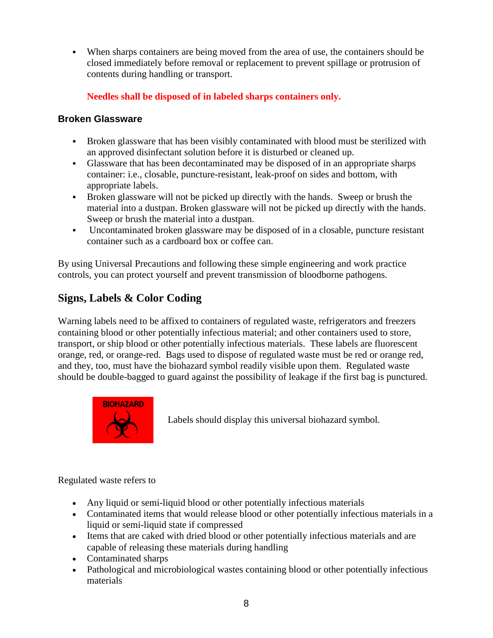When sharps containers are being moved from the area of use, the containers should be closed immediately before removal or replacement to prevent spillage or protrusion of contents during handling or transport.

**Needles shall be disposed of in labeled sharps containers only.**

# **Broken Glassware**

- Broken glassware that has been visibly contaminated with blood must be sterilized with an approved disinfectant solution before it is disturbed or cleaned up.
- Glassware that has been decontaminated may be disposed of in an appropriate sharps container: i.e., closable, puncture-resistant, leak-proof on sides and bottom, with appropriate labels.
- Broken glassware will not be picked up directly with the hands. Sweep or brush the material into a dustpan. Broken glassware will not be picked up directly with the hands. Sweep or brush the material into a dustpan.
- Uncontaminated broken glassware may be disposed of in a closable, puncture resistant container such as a cardboard box or coffee can.

By using Universal Precautions and following these simple engineering and work practice controls, you can protect yourself and prevent transmission of bloodborne pathogens.

# **Signs, Labels & Color Coding**

Warning labels need to be affixed to containers of regulated waste, refrigerators and freezers containing blood or other potentially infectious material; and other containers used to store, transport, or ship blood or other potentially infectious materials. These labels are fluorescent orange, red, or orange-red. Bags used to dispose of regulated waste must be red or orange red, and they, too, must have the biohazard symbol readily visible upon them. Regulated waste should be double-bagged to guard against the possibility of leakage if the first bag is punctured.



Labels should display this universal biohazard symbol.

Regulated waste refers to

- Any liquid or semi-liquid blood or other potentially infectious materials
- Contaminated items that would release blood or other potentially infectious materials in a liquid or semi-liquid state if compressed
- Items that are caked with dried blood or other potentially infectious materials and are capable of releasing these materials during handling
- Contaminated sharps
- Pathological and microbiological wastes containing blood or other potentially infectious materials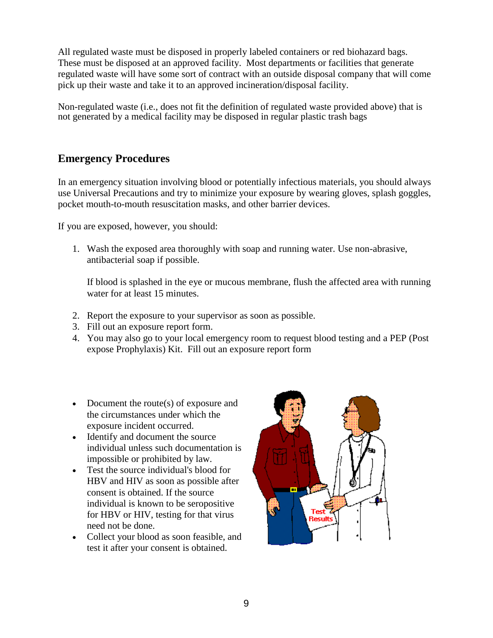All regulated waste must be disposed in properly labeled containers or red biohazard bags. These must be disposed at an approved facility. Most departments or facilities that generate regulated waste will have some sort of contract with an outside disposal company that will come pick up their waste and take it to an approved incineration/disposal facility.

Non-regulated waste (i.e., does not fit the definition of regulated waste provided above) that is not generated by a medical facility may be disposed in regular plastic trash bags

# **Emergency Procedures**

In an emergency situation involving blood or potentially infectious materials, you should always use Universal Precautions and try to minimize your exposure by wearing gloves, splash goggles, pocket mouth-to-mouth resuscitation masks, and other barrier devices.

If you are exposed, however, you should:

1. Wash the exposed area thoroughly with soap and running water. Use non-abrasive, antibacterial soap if possible.

If blood is splashed in the eye or mucous membrane, flush the affected area with running water for at least 15 minutes.

- 2. Report the exposure to your supervisor as soon as possible.
- 3. Fill out an exposure report form.
- 4. You may also go to your local emergency room to request blood testing and a PEP (Post expose Prophylaxis) Kit. Fill out an exposure report form
- Document the route(s) of exposure and the circumstances under which the exposure incident occurred.
- Identify and document the source individual unless such documentation is impossible or prohibited by law.
- Test the source individual's blood for HBV and HIV as soon as possible after consent is obtained. If the source individual is known to be seropositive for HBV or HIV, testing for that virus need not be done.
- Collect your blood as soon feasible, and test it after your consent is obtained.

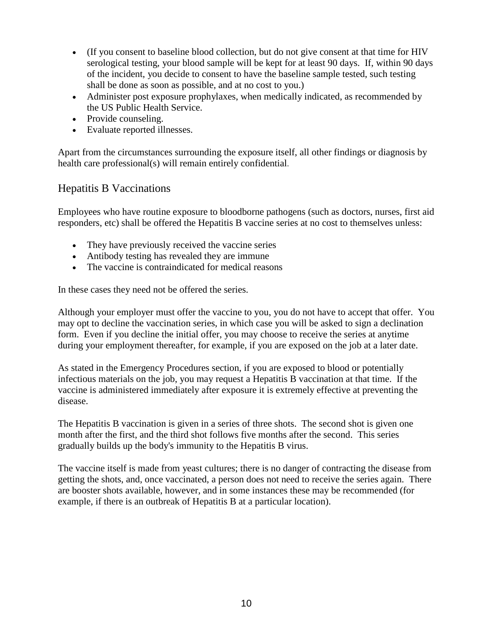- (If you consent to baseline blood collection, but do not give consent at that time for HIV serological testing, your blood sample will be kept for at least 90 days. If, within 90 days of the incident, you decide to consent to have the baseline sample tested, such testing shall be done as soon as possible, and at no cost to you.)
- Administer post exposure prophylaxes, when medically indicated, as recommended by the US Public Health Service.
- Provide counseling.
- Evaluate reported illnesses.

Apart from the circumstances surrounding the exposure itself, all other findings or diagnosis by health care professional(s) will remain entirely confidential.

## Hepatitis B Vaccinations

Employees who have routine exposure to bloodborne pathogens (such as doctors, nurses, first aid responders, etc) shall be offered the Hepatitis B vaccine series at no cost to themselves unless:

- They have previously received the vaccine series
- Antibody testing has revealed they are immune
- The vaccine is contraindicated for medical reasons

In these cases they need not be offered the series.

Although your employer must offer the vaccine to you, you do not have to accept that offer. You may opt to decline the vaccination series, in which case you will be asked to sign a declination form. Even if you decline the initial offer, you may choose to receive the series at anytime during your employment thereafter, for example, if you are exposed on the job at a later date.

As stated in the Emergency Procedures section, if you are exposed to blood or potentially infectious materials on the job, you may request a Hepatitis B vaccination at that time. If the vaccine is administered immediately after exposure it is extremely effective at preventing the disease.

The Hepatitis B vaccination is given in a series of three shots. The second shot is given one month after the first, and the third shot follows five months after the second. This series gradually builds up the body's immunity to the Hepatitis B virus.

The vaccine itself is made from yeast cultures; there is no danger of contracting the disease from getting the shots, and, once vaccinated, a person does not need to receive the series again. There are booster shots available, however, and in some instances these may be recommended (for example, if there is an outbreak of Hepatitis B at a particular location).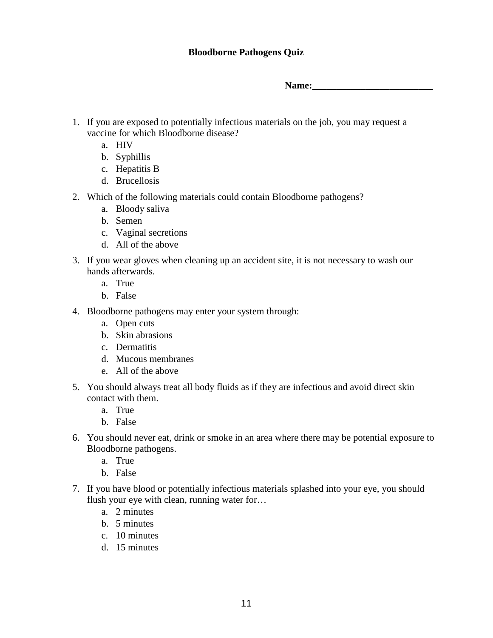#### **Bloodborne Pathogens Quiz**

 **Name:\_\_\_\_\_\_\_\_\_\_\_\_\_\_\_\_\_\_\_\_\_\_\_\_\_**

- 1. If you are exposed to potentially infectious materials on the job, you may request a vaccine for which Bloodborne disease?
	- a. HIV
	- b. Syphillis
	- c. Hepatitis B
	- d. Brucellosis
- 2. Which of the following materials could contain Bloodborne pathogens?
	- a. Bloody saliva
	- b. Semen
	- c. Vaginal secretions
	- d. All of the above
- 3. If you wear gloves when cleaning up an accident site, it is not necessary to wash our hands afterwards.
	- a. True
	- b. False
- 4. Bloodborne pathogens may enter your system through:
	- a. Open cuts
	- b. Skin abrasions
	- c. Dermatitis
	- d. Mucous membranes
	- e. All of the above
- 5. You should always treat all body fluids as if they are infectious and avoid direct skin contact with them.
	- a. True
	- b. False
- 6. You should never eat, drink or smoke in an area where there may be potential exposure to Bloodborne pathogens.
	- a. True
	- b. False
- 7. If you have blood or potentially infectious materials splashed into your eye, you should flush your eye with clean, running water for…
	- a. 2 minutes
	- b. 5 minutes
	- c. 10 minutes
	- d. 15 minutes